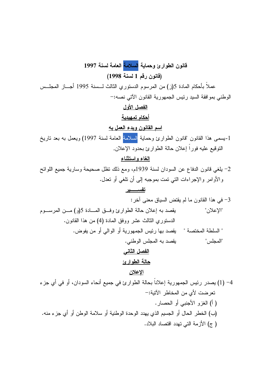قانون الطوارئ وحماية <mark>السلامة</mark> العامة لسنة 1997 (قانون رقم 1 لسنة 1998) عملاً بأحكام المادة 5(ز) من المرسوم الدستوري الثالث لـــسنة 1995 أجـــاز المجلــس الوطني بمو افقة السيد رئيس الجمهورية القانون الآتي نصه:-الفصل الأول أحكام تمهيدبة اسم القانون ويدء العمل به 1-بسمي هذا القانون "قانون الطوارئ وحماية <mark>السلامة</mark> العامة لسنة 1997) ويعمل به بعد تاريخ النوفيع عليه فوراً إعلان حالة الطوارئ بحدود الإعلان, الغاء واستثناء 2- يلغي قانون الدفاع عن السودان لسنة 1939م، ومع ذلك نظل صحيحة وسارية جميع اللوائح والأوامر والإجراءات التبي نمت بموجبه إلىي أن نلغي أو نعدل. تفســــــير 3- في هذا القانون ما لم يقتض السياق معنى أخر : يقصد به إعلان حالة الطوارئ وفق المسادة 5(و) مــن المرســـوم "الإعلان" الدستوري الثالث عشر ووفق المادة (4) من هذا القانون. " السلطة المختصة " يقصد بها رئيس الجمهورية أو الوالي أو من يفوض. يقصد به المجلس الوطني. "المجلس" الفصل الثاني حالة الطوارئ الاعلان 4– (1) يصدر رئيس الجمهورية إعلاناً بحالة الطوارئ في جميع أنحاء السودان، أو في أي جزء تعرضت لأي من المخاطر الآتية:-( أ) الغزو الأجنبي أو الحصار.

(ب) الخطر الحال أو الجسيم الذي يهدد الوحدة الوطنية أو سلامة الوطن أو أي جزء منه. (ج) الأزمة التي تهدد اقتصاد البلاد.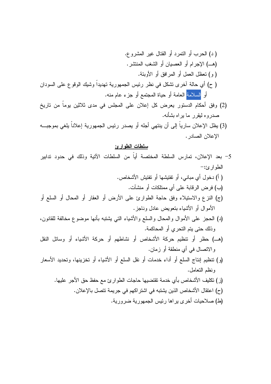- (2) وفق أحكام الدستور يعرض كل إعلان على المجلس في مدى ثلاثين يوماً من تاريخ صدروه ليقرر ما براه بشأنه.
- (3) يظل الإعلان سارياً إلى أن ينتهي أجله أو يصدر رئيس الجمهورية إعلاناً يلغي بموجبــه الإعلان الصادر .

## <u>سلطات الطوارئ</u>

- 5– بعد الإعلان، تمارس السلطة المختصة أياً من السلطات الآتية وذلك في حدود تدابير  $-t_{\xi}$ الطوار ء ( أ) دخول أي مباني، أو نفتيشها أو نفتيش الأشخاص. (ب) فر ض الر قابة على أي ممتلكات أو منشآت. (ج) النزع والاستيلاء وفق حاجة الطوارئ على الأرض أو العقار أو المحال أو السلع أو الأموال أو الأشياء بتعويض عادل وناجز. (د) الحجز على الأموال والمحال والسلع والأشياء التي يشتبه بأنها موضوع مخالفة للقانون، وذلك حتى يتم التحري أو المحاكمة. (هـ) حظرٍ أو نتظيمٍ حركة الأشخاص أو نشاطهم أو حركة الأشياء أو وسائل النقل والاتصال في أي منطقة أو زمان. (و) تنظيم إنتاج السلع أو أداء خدمات أو نقل السلع أو الأشياء أو تخزينها، وتحديد الأسعار ونظم التعامل. (ز ) تكليف الأشخاص بأي خدمة تقتضيها حاجات الطوارئ مع حفظ حق الأجر ِ عليها. (ح) اعتقال الأشخاص الذين يشتبه في اشتر اكهم في جريمة تتصل بالإعلان.
	- (ط) صلاحيات أخرى يراها رئيس الجمهورية ضرورية.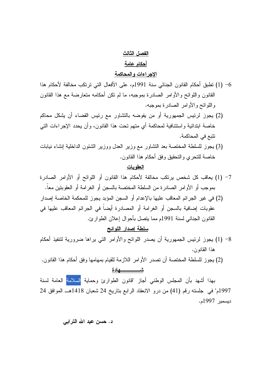# الفصل الثالث <u>أحكام عامة</u>

#### الإجراءات والمحاكمة

- 6– (1) تطبق أحكام القانون الجنائي سنة 1991م، على الأفعال التي ترتكب مخالفة لأحكام هذا القانون واللوائح والأوامر الصادرة بموجبه، ما لم نكن أحكامه متعارضة مع هذا القانون واللوائح والأوامر الصادرة بموجبه.
- (2) يجوز لرئيس الجمهورية أو من يفوضه بالتشاور مع رئيس القضاء أن يشكل محاكم خاصة ابتدائية واستئنافية لمحاكمة أي متهم تحت هذا القانون، وأن يحدد الإجراءات التي نتبع في المحاكمة.
- (3) يجوز للسلطة المختصة بعد التشاور مع وزير العدل ووزير الشئون الداخلية إنشاء نيابات خاصة للتحر ي و التحقيق وفق أحكام هذا القانون.

#### العقويات

- 7- (1) يعاقب كل شخص يرتكب مخالفة لأحكام هذا القانون أو اللوائح أو الأوامر الصادرة بموجب أو الأوامر الصادرة من السلطة المختصة بالسجن أو الغرامة أو العقوبتين معاً.
- (2) في غير الجرائم المعاقب عليها بالإعدام أو السجن المؤبد يجوز للمحكمة الخاصة إصدار عقوبات إضافية بالسجن أو الغرامة أو المصادرة أيضاً في الجرائم المعاقب عليها في القانون الجنائبي لسنة 1991م مما يتصل بأحوال إعلان الطوارئ.

# سلطة إصدار اللوائح

- 8– (1) يجوز لرئيس الجمهورية أن يصدر اللوائح والأوامر التي يراها ضرورية لتتفيذ أحكام هذا القانون.
- (2) يجوز للسلطة المختصة أن تصدر الأوامر اللازمة للقيام بمهامها وفق أحكام هذا القانون. شيسسسسسهادة

بهذا أشهد بأن المجلس الوطنبي أجاز "قانون الطوارئ وحماية <mark>السلامة العامة لسنة</mark> 1997م" في جلسته رقم (41) من درو الانعقاد الرابع بتاريخ 24 شعبان 1418هـ الموافق 24 ديسمبر 1997م.

### د. حسن عبد الله الترابي